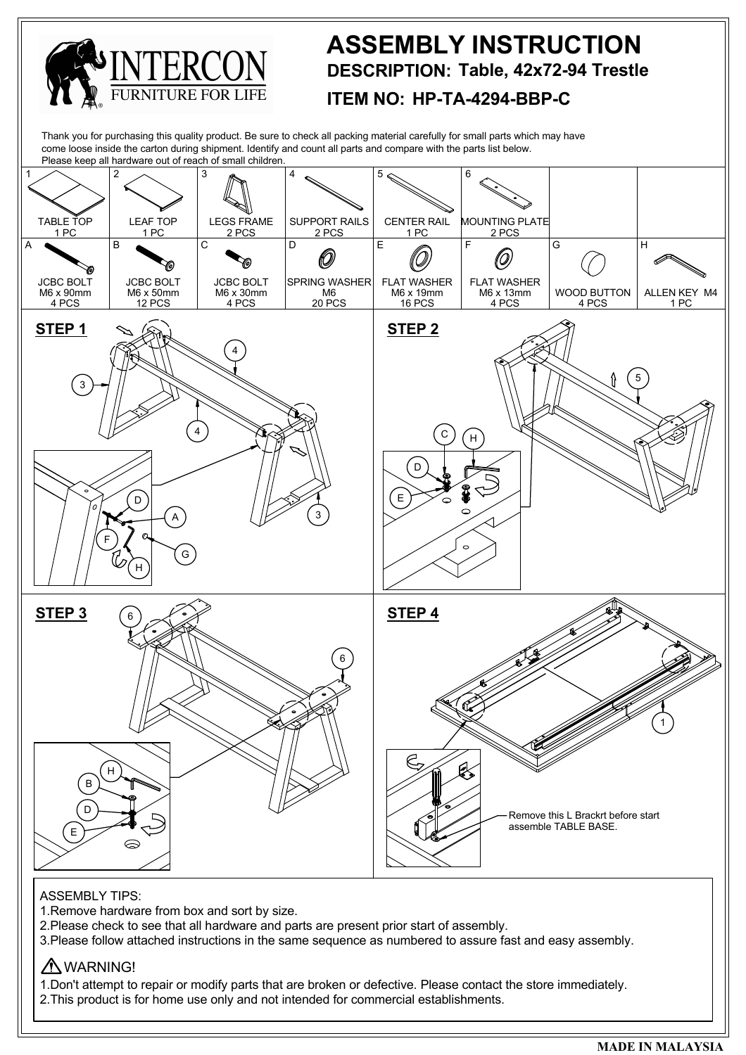

<sup>2.</sup>This product is for home use only and not intended for commercial establishments.